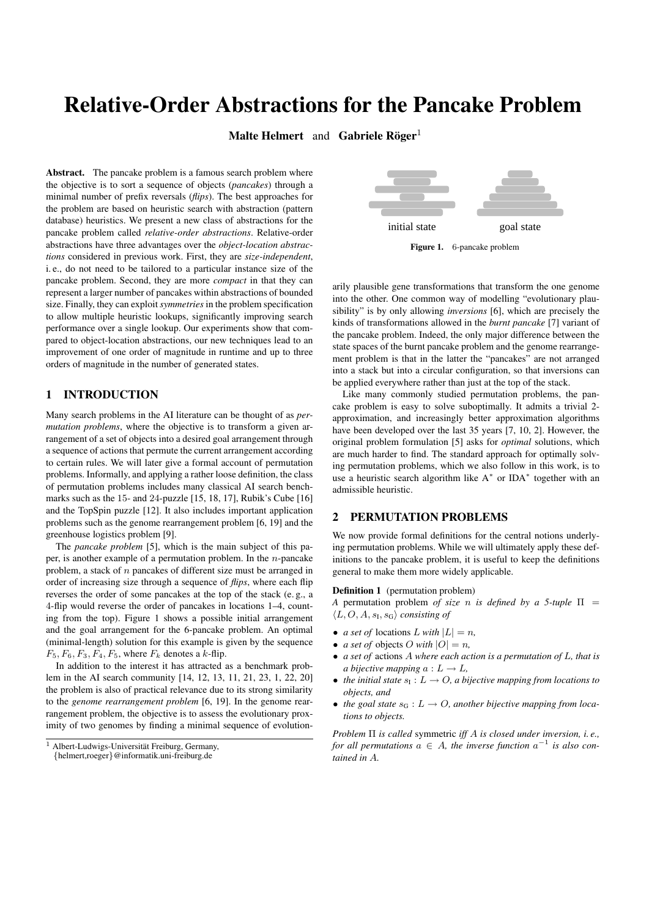# Relative-Order Abstractions for the Pancake Problem

Malte Helmert and Gabriele Röger $^1$ 

Abstract. The pancake problem is a famous search problem where the objective is to sort a sequence of objects (*pancakes*) through a minimal number of prefix reversals (*flips*). The best approaches for the problem are based on heuristic search with abstraction (pattern database) heuristics. We present a new class of abstractions for the pancake problem called *relative-order abstractions*. Relative-order abstractions have three advantages over the *object-location abstractions* considered in previous work. First, they are *size-independent*, i. e., do not need to be tailored to a particular instance size of the pancake problem. Second, they are more *compact* in that they can represent a larger number of pancakes within abstractions of bounded size. Finally, they can exploit *symmetries* in the problem specification to allow multiple heuristic lookups, significantly improving search performance over a single lookup. Our experiments show that compared to object-location abstractions, our new techniques lead to an improvement of one order of magnitude in runtime and up to three orders of magnitude in the number of generated states.

## 1 INTRODUCTION

Many search problems in the AI literature can be thought of as *permutation problems*, where the objective is to transform a given arrangement of a set of objects into a desired goal arrangement through a sequence of actions that permute the current arrangement according to certain rules. We will later give a formal account of permutation problems. Informally, and applying a rather loose definition, the class of permutation problems includes many classical AI search benchmarks such as the 15- and 24-puzzle [15, 18, 17], Rubik's Cube [16] and the TopSpin puzzle [12]. It also includes important application problems such as the genome rearrangement problem [6, 19] and the greenhouse logistics problem [9].

The *pancake problem* [5], which is the main subject of this paper, is another example of a permutation problem. In the  $n$ -pancake problem, a stack of  $n$  pancakes of different size must be arranged in order of increasing size through a sequence of *flips*, where each flip reverses the order of some pancakes at the top of the stack (e. g., a 4-flip would reverse the order of pancakes in locations 1–4, counting from the top). Figure 1 shows a possible initial arrangement and the goal arrangement for the 6-pancake problem. An optimal (minimal-length) solution for this example is given by the sequence  $F_5, F_6, F_3, F_4, F_5$ , where  $F_k$  denotes a k-flip.

In addition to the interest it has attracted as a benchmark problem in the AI search community [14, 12, 13, 11, 21, 23, 1, 22, 20] the problem is also of practical relevance due to its strong similarity to the *genome rearrangement problem* [6, 19]. In the genome rearrangement problem, the objective is to assess the evolutionary proximity of two genomes by finding a minimal sequence of evolution-



Figure 1. 6-pancake problem

arily plausible gene transformations that transform the one genome into the other. One common way of modelling "evolutionary plausibility" is by only allowing *inversions* [6], which are precisely the kinds of transformations allowed in the *burnt pancake* [7] variant of the pancake problem. Indeed, the only major difference between the state spaces of the burnt pancake problem and the genome rearrangement problem is that in the latter the "pancakes" are not arranged into a stack but into a circular configuration, so that inversions can be applied everywhere rather than just at the top of the stack.

Like many commonly studied permutation problems, the pancake problem is easy to solve suboptimally. It admits a trivial 2 approximation, and increasingly better approximation algorithms have been developed over the last 35 years [7, 10, 2]. However, the original problem formulation [5] asks for *optimal* solutions, which are much harder to find. The standard approach for optimally solving permutation problems, which we also follow in this work, is to use a heuristic search algorithm like A<sup>\*</sup> or IDA<sup>\*</sup> together with an admissible heuristic.

## 2 PERMUTATION PROBLEMS

We now provide formal definitions for the central notions underlying permutation problems. While we will ultimately apply these definitions to the pancake problem, it is useful to keep the definitions general to make them more widely applicable.

## Definition 1 (permutation problem)

*A* permutation problem *of size* n *is defined by a 5-tuple* Π =  $\langle L, O, A, s_I, s_G \rangle$  *consisting of* 

- *a set of* locations  $L$  *with*  $|L| = n$ ,
- *a set of* objects *O* with  $|O| = n$ ,
- *a set of* actions A *where each action is a permutation of* L*, that is a bijective mapping*  $a: L \rightarrow L$ ,
- *the initial state*  $s_1 : L \to O$ , *a bijective mapping from locations to objects, and*
- *the goal state*  $s_G : L \to O$ , another bijective mapping from loca*tions to objects.*

*Problem* Π *is called* symmetric *iff* A *is closed under inversion, i. e., for all permutations*  $a \in A$ , the inverse function  $a^{-1}$  is also con*tained in* A*.*

 $1$  Albert-Ludwigs-Universität Freiburg, Germany,

<sup>{</sup>helmert,roeger}@informatik.uni-freiburg.de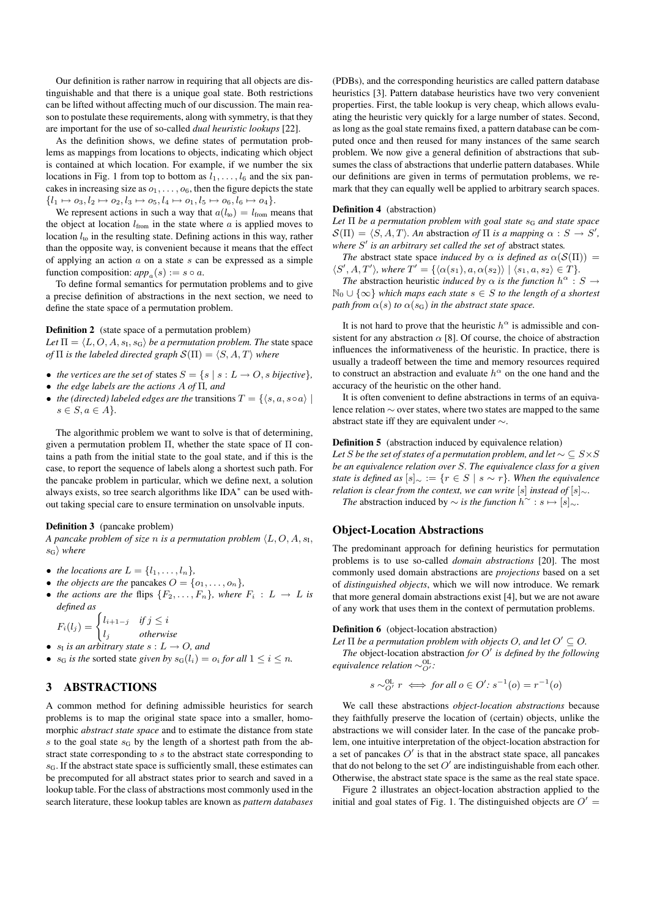Our definition is rather narrow in requiring that all objects are distinguishable and that there is a unique goal state. Both restrictions can be lifted without affecting much of our discussion. The main reason to postulate these requirements, along with symmetry, is that they are important for the use of so-called *dual heuristic lookups* [22].

As the definition shows, we define states of permutation problems as mappings from locations to objects, indicating which object is contained at which location. For example, if we number the six locations in Fig. 1 from top to bottom as  $l_1, \ldots, l_6$  and the six pancakes in increasing size as  $o_1, \ldots, o_6$ , then the figure depicts the state  $\{l_1 \mapsto o_3, l_2 \mapsto o_2, l_3 \mapsto o_5, l_4 \mapsto o_1, l_5 \mapsto o_6, l_6 \mapsto o_4\}.$ 

We represent actions in such a way that  $a(l_{\text{to}}) = l_{\text{from}}$  means that the object at location  $l_{from}$  in the state where  $a$  is applied moves to location  $l_{\text{to}}$  in the resulting state. Defining actions in this way, rather than the opposite way, is convenient because it means that the effect of applying an action  $\alpha$  on a state  $s$  can be expressed as a simple function composition:  $app_a(s) := s \circ a$ .

To define formal semantics for permutation problems and to give a precise definition of abstractions in the next section, we need to define the state space of a permutation problem.

Definition 2 (state space of a permutation problem)

Let  $\Pi = \langle L, O, A, s_{\text{I}}, s_{\text{G}} \rangle$  *be a permutation problem. The* state space *of*  $\Pi$  *is the labeled directed graph*  $\mathcal{S}(\Pi) = \langle S, A, T \rangle$  *where* 

- *the vertices are the set of states*  $S = \{s \mid s : L \to O, s \text{ bijective}\},\$
- *the edge labels are the actions* A *of* Π*, and*
- *the (directed) labeled edges are the transitions*  $T = \{ \langle s, a, s \circ a \rangle | \}$  $s \in S, a \in A$ <sup>}</sup>.

The algorithmic problem we want to solve is that of determining, given a permutation problem  $\Pi$ , whether the state space of  $\Pi$  contains a path from the initial state to the goal state, and if this is the case, to report the sequence of labels along a shortest such path. For the pancake problem in particular, which we define next, a solution always exists, so tree search algorithms like IDA<sup>\*</sup> can be used without taking special care to ensure termination on unsolvable inputs.

#### Definition 3 (pancake problem)

*A pancake problem of size n is a permutation problem*  $\langle L, O, A, s_1, \rangle$  $s_{\rm G}$  *where* 

• *the locations are*  $L = \{l_1, \ldots, l_n\}$ ,

- *the objects are the* pancakes  $O = \{o_1, \ldots, o_n\}$ ,
- *the actions are the flips*  ${F_2, \ldots, F_n}$ *, where*  $F_i : L \to L$  *is defined as*

$$
F_i(l_j) = \begin{cases} l_{i+1-j} & \text{if } j \le i \\ l_j & \text{otherwise} \end{cases}
$$

- $s<sub>I</sub>$  *is an arbitrary state*  $s: L \rightarrow O$ *, and*
- $s_G$  *is the* sorted state *given by*  $s_G(l_i) = o_i$  *for all*  $1 \le i \le n$ *.*

# 3 ABSTRACTIONS

A common method for defining admissible heuristics for search problems is to map the original state space into a smaller, homomorphic *abstract state space* and to estimate the distance from state s to the goal state  $s_G$  by the length of a shortest path from the abstract state corresponding to s to the abstract state corresponding to  $s<sub>G</sub>$ . If the abstract state space is sufficiently small, these estimates can be precomputed for all abstract states prior to search and saved in a lookup table. For the class of abstractions most commonly used in the search literature, these lookup tables are known as *pattern databases* (PDBs), and the corresponding heuristics are called pattern database heuristics [3]. Pattern database heuristics have two very convenient properties. First, the table lookup is very cheap, which allows evaluating the heuristic very quickly for a large number of states. Second, as long as the goal state remains fixed, a pattern database can be computed once and then reused for many instances of the same search problem. We now give a general definition of abstractions that subsumes the class of abstractions that underlie pattern databases. While our definitions are given in terms of permutation problems, we remark that they can equally well be applied to arbitrary search spaces.

### Definition 4 (abstraction)

Let Π be a permutation problem with goal state s<sub>G</sub> and state space  $\mathcal{S}(\Pi) = \langle S, A, T \rangle$ . An abstraction *of*  $\Pi$  *is a mapping*  $\alpha : S \to S'$ , where  $S'$  is an arbitrary set called the set of abstract states.

*The* abstract state space *induced by*  $\alpha$  *is defined as*  $\alpha(S(\Pi))$  =  $\langle S', A, T' \rangle$ , where  $T' = {\langle \langle \alpha(s_1), a, \alpha(s_2) \rangle \mid \langle s_1, a, s_2 \rangle \in T }$ *.* 

*The* abstraction heuristic *induced by*  $\alpha$  *is the function*  $h^{\alpha}$  :  $S \rightarrow$ N<sup>0</sup> ∪ {∞} *which maps each state* s ∈ S *to the length of a shortest path from*  $\alpha(s)$  *to*  $\alpha(s_G)$  *in the abstract state space.* 

It is not hard to prove that the heuristic  $h^{\alpha}$  is admissible and consistent for any abstraction  $\alpha$  [8]. Of course, the choice of abstraction influences the informativeness of the heuristic. In practice, there is usually a tradeoff between the time and memory resources required to construct an abstraction and evaluate  $h^{\alpha}$  on the one hand and the accuracy of the heuristic on the other hand.

It is often convenient to define abstractions in terms of an equivalence relation ∼ over states, where two states are mapped to the same abstract state iff they are equivalent under ∼.

#### Definition 5 (abstraction induced by equivalence relation)

*Let* S *be the set of states of a permutation problem, and let*  $\sim \subseteq S \times S$ *be an equivalence relation over* S*. The equivalence class for a given state is defined as*  $[s]_{\sim} := \{r \in S \mid s \sim r\}$ *. When the equivalence relation is clear from the context, we can write* [s] *instead of* [s]∼*.* 

*The* abstraction induced by  $\sim$  *is the function*  $h^{\sim}$  : *s*  $\mapsto$  [*s*]∼*.* 

## Object-Location Abstractions

The predominant approach for defining heuristics for permutation problems is to use so-called *domain abstractions* [20]. The most commonly used domain abstractions are *projections* based on a set of *distinguished objects*, which we will now introduce. We remark that more general domain abstractions exist [4], but we are not aware of any work that uses them in the context of permutation problems.

#### Definition 6 (object-location abstraction)

Let  $\Pi$  be a permutation problem with objects O, and let  $O' \subseteq O$ .

*The* object-location abstraction *for* O 0 *is defined by the following equivalence relation* ∼<sup>OL</sup>:

$$
s \sim_{O'}^{OL} r \iff \text{for all } o \in O' : s^{-1}(o) = r^{-1}(o)
$$

We call these abstractions *object-location abstractions* because they faithfully preserve the location of (certain) objects, unlike the abstractions we will consider later. In the case of the pancake problem, one intuitive interpretation of the object-location abstraction for a set of pancakes  $O'$  is that in the abstract state space, all pancakes that do not belong to the set  $O'$  are indistinguishable from each other. Otherwise, the abstract state space is the same as the real state space.

Figure 2 illustrates an object-location abstraction applied to the initial and goal states of Fig. 1. The distinguished objects are  $O' =$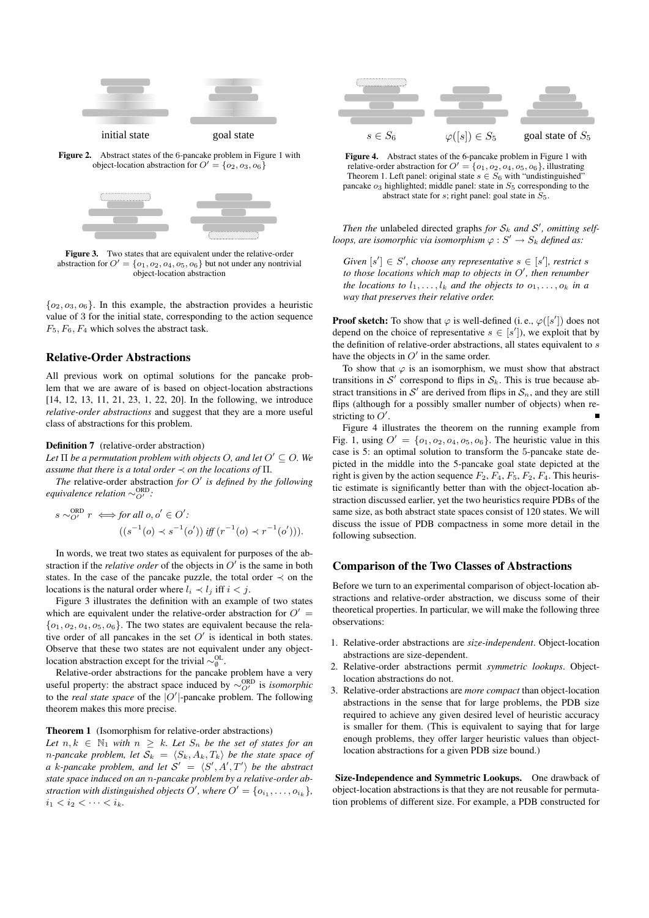

Figure 2. Abstract states of the 6-pancake problem in Figure 1 with object-location abstraction for  $O' = \{o_2, o_3, o_6\}$ 



Figure 3. Two states that are equivalent under the relative-order abstraction for  $O' = \{o_1, o_2, o_4, o_5, o_6\}$  but not under any nontrivial object-location abstraction

 ${o_2, o_3, o_6}$ . In this example, the abstraction provides a heuristic value of 3 for the initial state, corresponding to the action sequence  $F_5, F_6, F_4$  which solves the abstract task.

### Relative-Order Abstractions

All previous work on optimal solutions for the pancake problem that we are aware of is based on object-location abstractions [14, 12, 13, 11, 21, 23, 1, 22, 20]. In the following, we introduce *relative-order abstractions* and suggest that they are a more useful class of abstractions for this problem.

#### Definition 7 (relative-order abstraction)

Let  $\Pi$  be a permutation problem with objects O, and let  $O' \subseteq O$ . We *assume that there is a total order* ≺ *on the locations of* Π*.*

*The* relative-order abstraction *for* O 0 *is defined by the following equivalence relation*  $\sim_{O'}^{ORD}$ :

$$
s \sim_{O'}^{\text{ORD}} r \iff \text{for all } o, o' \in O' : \\ \left( (s^{-1}(o) \prec s^{-1}(o')) \text{ iff } (r^{-1}(o) \prec r^{-1}(o')) \right).
$$

In words, we treat two states as equivalent for purposes of the abstraction if the *relative order* of the objects in  $O'$  is the same in both states. In the case of the pancake puzzle, the total order  $\prec$  on the locations is the natural order where  $l_i \prec l_j$  iff  $i < j$ .

Figure 3 illustrates the definition with an example of two states which are equivalent under the relative-order abstraction for  $O' =$  ${o_1, o_2, o_4, o_5, o_6}$ . The two states are equivalent because the relative order of all pancakes in the set  $O'$  is identical in both states. Observe that these two states are not equivalent under any objectlocation abstraction except for the trivial  $\sim_{\emptyset}^{\text{OL}}$ .

Relative-order abstractions for the pancake problem have a very useful property: the abstract space induced by  $\sim_{O'}^{ORD}$  is *isomorphic* to the *real state space* of the  $|O'|$ -pancake problem. The following theorem makes this more precise.

#### Theorem 1 (Isomorphism for relative-order abstractions)

*Let*  $n, k \in \mathbb{N}_1$  *with*  $n \geq k$ *. Let*  $S_n$  *be the set of states for an n*-pancake problem, let  $S_k = \langle S_k, A_k, T_k \rangle$  be the state space of *a k*-pancake problem, and let  $S' = \langle S', A', T' \rangle$  be the abstract *state space induced on an* n*-pancake problem by a relative-order abstraction with distinguished objects O'*, where  $O' = \{o_{i_1}, \ldots, o_{i_k}\},$  $i_1 < i_2 < \cdots < i_k$ .



Figure 4. Abstract states of the 6-pancake problem in Figure 1 with relative-order abstraction for  $O' = \{o_1, o_2, o_4, o_5, o_6\}$ , illustrating Theorem 1. Left panel: original state  $s \in S_6$  with "undistinguished" pancake  $o_3$  highlighted; middle panel: state in  $S_5$  corresponding to the abstract state for s; right panel: goal state in  $S_5$ .

*Then the* unlabeled directed graphs *for*  $S_k$  *and*  $S'$ *, omitting selfloops, are isomorphic via isomorphism*  $\varphi : S' \to S_k$  *defined as:* 

*Given*  $[s'] \in S'$ , *choose any representative*  $s \in [s']$ *, restrict s* to those locations which map to objects in O', then renumber *the locations to*  $l_1, \ldots, l_k$  *and the objects to*  $o_1, \ldots, o_k$  *in a way that preserves their relative order.*

**Proof sketch:** To show that  $\varphi$  is well-defined (i.e.,  $\varphi([s'])$  does not depend on the choice of representative  $s \in [s']$ ), we exploit that by the definition of relative-order abstractions, all states equivalent to s have the objects in  $O'$  in the same order.

To show that  $\varphi$  is an isomorphism, we must show that abstract transitions in  $S'$  correspond to flips in  $S_k$ . This is true because abstract transitions in  $\mathcal{S}'$  are derived from flips in  $\mathcal{S}_n$ , and they are still flips (although for a possibly smaller number of objects) when restricting to  $O'$ .

Figure 4 illustrates the theorem on the running example from Fig. 1, using  $O' = \{o_1, o_2, o_4, o_5, o_6\}$ . The heuristic value in this case is 5: an optimal solution to transform the 5-pancake state depicted in the middle into the 5-pancake goal state depicted at the right is given by the action sequence  $F_2, F_4, F_5, F_2, F_4$ . This heuristic estimate is significantly better than with the object-location abstraction discussed earlier, yet the two heuristics require PDBs of the same size, as both abstract state spaces consist of 120 states. We will discuss the issue of PDB compactness in some more detail in the following subsection.

## Comparison of the Two Classes of Abstractions

Before we turn to an experimental comparison of object-location abstractions and relative-order abstraction, we discuss some of their theoretical properties. In particular, we will make the following three observations:

- 1. Relative-order abstractions are *size-independent*. Object-location abstractions are size-dependent.
- 2. Relative-order abstractions permit *symmetric lookups*. Objectlocation abstractions do not.
- 3. Relative-order abstractions are *more compact* than object-location abstractions in the sense that for large problems, the PDB size required to achieve any given desired level of heuristic accuracy is smaller for them. (This is equivalent to saying that for large enough problems, they offer larger heuristic values than objectlocation abstractions for a given PDB size bound.)

Size-Independence and Symmetric Lookups. One drawback of object-location abstractions is that they are not reusable for permutation problems of different size. For example, a PDB constructed for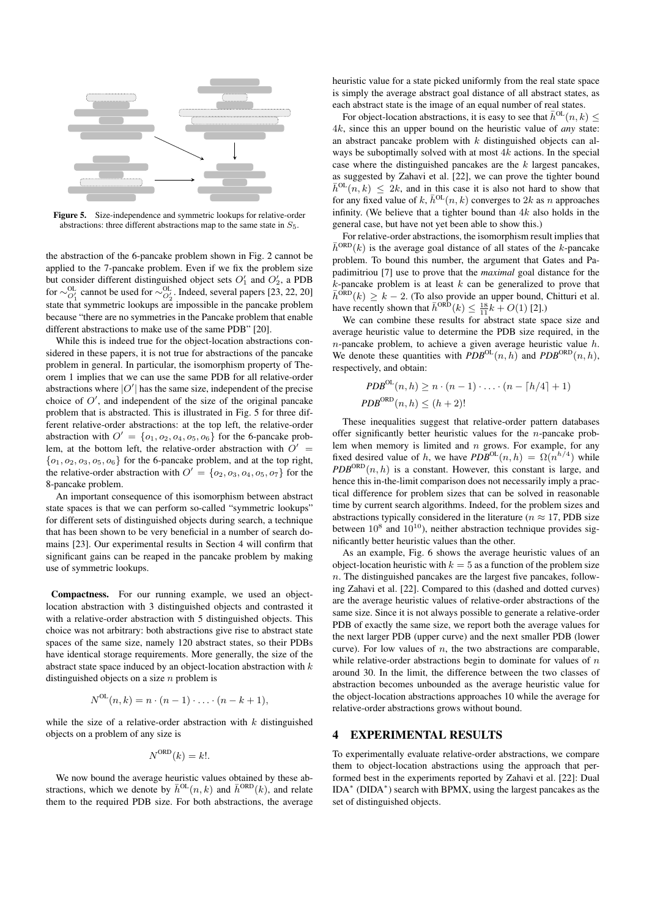

Figure 5. Size-independence and symmetric lookups for relative-order abstractions: three different abstractions map to the same state in  $S_5$ .

the abstraction of the 6-pancake problem shown in Fig. 2 cannot be applied to the 7-pancake problem. Even if we fix the problem size but consider different distinguished object sets  $O'_1$  and  $O'_2$ , a PDB for  $\sim_{O'_1}^{OL}$  cannot be used for  $\sim_{O'_2}^{OL}$ . Indeed, several papers [23, 22, 20] state that symmetric lookups are impossible in the pancake problem because "there are no symmetries in the Pancake problem that enable different abstractions to make use of the same PDB" [20].

While this is indeed true for the object-location abstractions considered in these papers, it is not true for abstractions of the pancake problem in general. In particular, the isomorphism property of Theorem 1 implies that we can use the same PDB for all relative-order abstractions where  $|O'|$  has the same size, independent of the precise choice of  $O'$ , and independent of the size of the original pancake problem that is abstracted. This is illustrated in Fig. 5 for three different relative-order abstractions: at the top left, the relative-order abstraction with  $O' = \{o_1, o_2, o_4, o_5, o_6\}$  for the 6-pancake problem, at the bottom left, the relative-order abstraction with  $O' =$  ${o_1, o_2, o_3, o_5, o_6}$  for the 6-pancake problem, and at the top right, the relative-order abstraction with  $O' = \{o_2, o_3, o_4, o_5, o_7\}$  for the 8-pancake problem.

An important consequence of this isomorphism between abstract state spaces is that we can perform so-called "symmetric lookups" for different sets of distinguished objects during search, a technique that has been shown to be very beneficial in a number of search domains [23]. Our experimental results in Section 4 will confirm that significant gains can be reaped in the pancake problem by making use of symmetric lookups.

Compactness. For our running example, we used an objectlocation abstraction with 3 distinguished objects and contrasted it with a relative-order abstraction with 5 distinguished objects. This choice was not arbitrary: both abstractions give rise to abstract state spaces of the same size, namely 120 abstract states, so their PDBs have identical storage requirements. More generally, the size of the abstract state space induced by an object-location abstraction with  $k$ distinguished objects on a size  $n$  problem is

$$
N^{OL}(n,k) = n \cdot (n-1) \cdot \ldots \cdot (n-k+1),
$$

while the size of a relative-order abstraction with  $k$  distinguished objects on a problem of any size is

$$
N^{\text{ORD}}(k) = k!.
$$

We now bound the average heuristic values obtained by these abstractions, which we denote by  $\bar{h}^{OL}(n, k)$  and  $\bar{h}^{ORD}(k)$ , and relate them to the required PDB size. For both abstractions, the average

heuristic value for a state picked uniformly from the real state space is simply the average abstract goal distance of all abstract states, as each abstract state is the image of an equal number of real states.

For object-location abstractions, it is easy to see that  $\bar{h}^{OL}(n, k)$  < 4k, since this an upper bound on the heuristic value of *any* state: an abstract pancake problem with  $k$  distinguished objects can always be suboptimally solved with at most 4k actions. In the special case where the distinguished pancakes are the  $k$  largest pancakes, as suggested by Zahavi et al. [22], we can prove the tighter bound  $\bar{h}^{OL}(n, k) \leq 2k$ , and in this case it is also not hard to show that for any fixed value of k,  $\bar{h}^{OL}(n, k)$  converges to 2k as n approaches infinity. (We believe that a tighter bound than  $4k$  also holds in the general case, but have not yet been able to show this.)

For relative-order abstractions, the isomorphism result implies that  $\bar{h}^{\text{ORD}}(k)$  is the average goal distance of all states of the k-pancake problem. To bound this number, the argument that Gates and Papadimitriou [7] use to prove that the *maximal* goal distance for the  $k$ -pancake problem is at least  $k$  can be generalized to prove that  $\bar{h}^{\text{ORD}}(k) \geq k - 2$ . (To also provide an upper bound, Chitturi et al. have recently shown that  $\bar{h}^{\text{ORD}}(k) \leq \frac{18}{11}k + O(1)$  [2].)

We can combine these results for abstract state space size and average heuristic value to determine the PDB size required, in the  $n$ -pancake problem, to achieve a given average heuristic value  $h$ . We denote these quantities with  $PDB^{OL}(n, h)$  and  $PDB^{ORD}(n, h)$ , respectively, and obtain:

$$
PDB^{OL}(n, h) \ge n \cdot (n-1) \cdot \ldots \cdot (n - \lceil h/4 \rceil + 1)
$$

$$
PDB^{ORD}(n, h) \le (h+2)!
$$

These inequalities suggest that relative-order pattern databases offer significantly better heuristic values for the n-pancake problem when memory is limited and  $n$  grows. For example, for any fixed desired value of h, we have  $PDB^{OL}(n, h) = \Omega(n^{h/4})$  while  $PDB^{ORD}(n, h)$  is a constant. However, this constant is large, and hence this in-the-limit comparison does not necessarily imply a practical difference for problem sizes that can be solved in reasonable time by current search algorithms. Indeed, for the problem sizes and abstractions typically considered in the literature ( $n \approx 17$ , PDB size between  $10^8$  and  $10^{10}$ ), neither abstraction technique provides significantly better heuristic values than the other.

As an example, Fig. 6 shows the average heuristic values of an object-location heuristic with  $k = 5$  as a function of the problem size  $n.$  The distinguished pancakes are the largest five pancakes, following Zahavi et al. [22]. Compared to this (dashed and dotted curves) are the average heuristic values of relative-order abstractions of the same size. Since it is not always possible to generate a relative-order PDB of exactly the same size, we report both the average values for the next larger PDB (upper curve) and the next smaller PDB (lower curve). For low values of  $n$ , the two abstractions are comparable, while relative-order abstractions begin to dominate for values of  $n$ around 30. In the limit, the difference between the two classes of abstraction becomes unbounded as the average heuristic value for the object-location abstractions approaches 10 while the average for relative-order abstractions grows without bound.

## 4 EXPERIMENTAL RESULTS

To experimentally evaluate relative-order abstractions, we compare them to object-location abstractions using the approach that performed best in the experiments reported by Zahavi et al. [22]: Dual IDA<sup>\*</sup> (DIDA<sup>\*</sup>) search with BPMX, using the largest pancakes as the set of distinguished objects.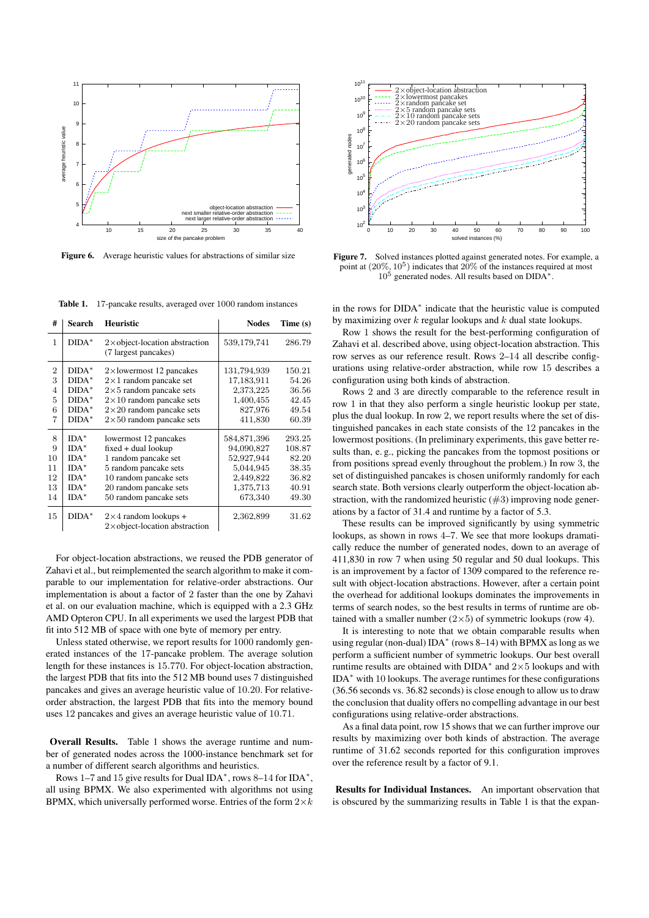

Figure 6. Average heuristic values for abstractions of similar size

Table 1. 17-pancake results, averaged over 1000 random instances

| #                                          | Search                                                                  | <b>Heuristic</b>                                                                                                                                                              | <b>Nodes</b>                                                                              | Time(s)                                                       |
|--------------------------------------------|-------------------------------------------------------------------------|-------------------------------------------------------------------------------------------------------------------------------------------------------------------------------|-------------------------------------------------------------------------------------------|---------------------------------------------------------------|
| $\mathbf{1}$                               | $DIDA*$                                                                 | $2\times$ object-location abstraction<br>(7 largest pancakes)                                                                                                                 | 539,179,741                                                                               | 286.79                                                        |
| $\overline{2}$<br>3<br>$\overline{4}$<br>5 | $DIDA*$<br>$DIDA*$<br>$DIDA*$                                           | $2\times$ lowermost 12 pancakes<br>$2\times1$ random pancake set<br>$2\times5$ random pancake sets                                                                            | 131,794,939<br>17,183,911<br>2,373,225                                                    | 150.21<br>54.26<br>36.56                                      |
| 6<br>7                                     | $DIDA*$<br>$DIDA^*$<br>$DIDA^*$                                         | $2\times10$ random pancake sets<br>$2\times 20$ random pancake sets<br>$2\times50$ random pancake sets                                                                        | 1,400,455<br>827,976<br>411,830                                                           | 42.45<br>49.54<br>60.39                                       |
| 8<br>9<br>10<br>11<br>12<br>13<br>14       | $IDA*$<br>$IDA^*$<br>$IDA^*$<br>$IDA*$<br>$IDA^*$<br>$IDA^*$<br>$IDA^*$ | lowermost 12 pancakes<br>$fixed + dual$ lookup<br>1 random pancake set<br>5 random pancake sets<br>10 random pancake sets<br>20 random pancake sets<br>50 random pancake sets | 584,871,396<br>94,090,827<br>52,927,944<br>5,044,945<br>2,449,822<br>1,375,713<br>673,340 | 293.25<br>108.87<br>82.20<br>38.35<br>36.82<br>40.91<br>49.30 |
| 15                                         | $DIDA*$                                                                 | $2\times 4$ random lookups +<br>$2\times$ object-location abstraction                                                                                                         | 2,362,899                                                                                 | 31.62                                                         |

For object-location abstractions, we reused the PDB generator of Zahavi et al., but reimplemented the search algorithm to make it comparable to our implementation for relative-order abstractions. Our implementation is about a factor of 2 faster than the one by Zahavi et al. on our evaluation machine, which is equipped with a 2.3 GHz AMD Opteron CPU. In all experiments we used the largest PDB that fit into 512 MB of space with one byte of memory per entry.

Unless stated otherwise, we report results for 1000 randomly generated instances of the 17-pancake problem. The average solution length for these instances is 15.770. For object-location abstraction, the largest PDB that fits into the 512 MB bound uses 7 distinguished pancakes and gives an average heuristic value of 10.20. For relativeorder abstraction, the largest PDB that fits into the memory bound uses 12 pancakes and gives an average heuristic value of 10.71.

Overall Results. Table 1 shows the average runtime and number of generated nodes across the 1000-instance benchmark set for a number of different search algorithms and heuristics.

Rows 1–7 and 15 give results for Dual IDA<sup>\*</sup>, rows 8–14 for IDA<sup>\*</sup>, all using BPMX. We also experimented with algorithms not using BPMX, which universally performed worse. Entries of the form  $2\times k$ 



Figure 7. Solved instances plotted against generated notes. For example, a point at  $(20\%, 10^5)$  indicates that  $20\%$  of the instances required at most  $10<sup>5</sup>$  generated nodes. All results based on DIDA<sup>\*</sup>.

in the rows for DIDA<sup>∗</sup> indicate that the heuristic value is computed by maximizing over  $k$  regular lookups and  $k$  dual state lookups.

Row 1 shows the result for the best-performing configuration of Zahavi et al. described above, using object-location abstraction. This row serves as our reference result. Rows 2–14 all describe configurations using relative-order abstraction, while row 15 describes a configuration using both kinds of abstraction.

Rows 2 and 3 are directly comparable to the reference result in row 1 in that they also perform a single heuristic lookup per state, plus the dual lookup. In row 2, we report results where the set of distinguished pancakes in each state consists of the 12 pancakes in the lowermost positions. (In preliminary experiments, this gave better results than, e. g., picking the pancakes from the topmost positions or from positions spread evenly throughout the problem.) In row 3, the set of distinguished pancakes is chosen uniformly randomly for each search state. Both versions clearly outperform the object-location abstraction, with the randomized heuristic  $(\#3)$  improving node generations by a factor of 31.4 and runtime by a factor of 5.3.

These results can be improved significantly by using symmetric lookups, as shown in rows 4–7. We see that more lookups dramatically reduce the number of generated nodes, down to an average of 411,830 in row 7 when using 50 regular and 50 dual lookups. This is an improvement by a factor of 1309 compared to the reference result with object-location abstractions. However, after a certain point the overhead for additional lookups dominates the improvements in terms of search nodes, so the best results in terms of runtime are obtained with a smaller number  $(2\times5)$  of symmetric lookups (row 4).

It is interesting to note that we obtain comparable results when using regular (non-dual) IDA<sup>∗</sup> (rows 8–14) with BPMX as long as we perform a sufficient number of symmetric lookups. Our best overall runtime results are obtained with DIDA<sup>\*</sup> and  $2\times5$  lookups and with IDA<sup>∗</sup> with 10 lookups. The average runtimes for these configurations (36.56 seconds vs. 36.82 seconds) is close enough to allow us to draw the conclusion that duality offers no compelling advantage in our best configurations using relative-order abstractions.

As a final data point, row 15 shows that we can further improve our results by maximizing over both kinds of abstraction. The average runtime of 31.62 seconds reported for this configuration improves over the reference result by a factor of 9.1.

Results for Individual Instances. An important observation that is obscured by the summarizing results in Table 1 is that the expan-